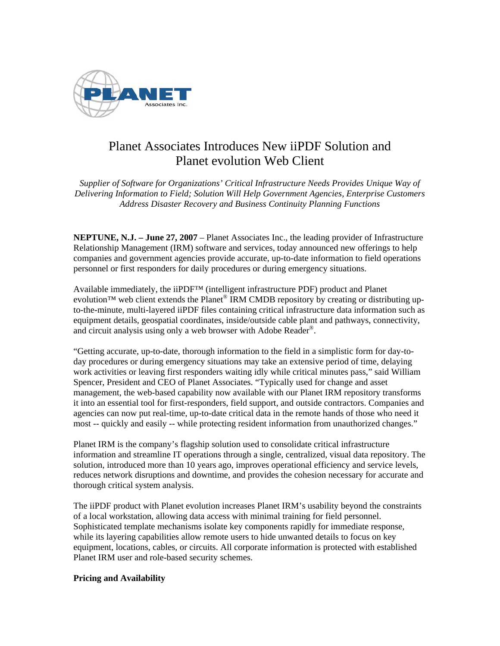

## Planet Associates Introduces New iiPDF Solution and Planet evolution Web Client

*Supplier of Software for Organizations' Critical Infrastructure Needs Provides Unique Way of Delivering Information to Field; Solution Will Help Government Agencies, Enterprise Customers Address Disaster Recovery and Business Continuity Planning Functions* 

**NEPTUNE, N.J. – June 27, 2007** – Planet Associates Inc., the leading provider of Infrastructure Relationship Management (IRM) software and services, today announced new offerings to help companies and government agencies provide accurate, up-to-date information to field operations personnel or first responders for daily procedures or during emergency situations.

Available immediately, the iiPDF™ (intelligent infrastructure PDF) product and Planet evolution<sup>™</sup> web client extends the Planet<sup>®</sup> IRM CMDB repository by creating or distributing upto-the-minute, multi-layered iiPDF files containing critical infrastructure data information such as equipment details, geospatial coordinates, inside/outside cable plant and pathways, connectivity, and circuit analysis using only a web browser with Adobe Reader®.

"Getting accurate, up-to-date, thorough information to the field in a simplistic form for day-today procedures or during emergency situations may take an extensive period of time, delaying work activities or leaving first responders waiting idly while critical minutes pass," said William Spencer, President and CEO of Planet Associates. "Typically used for change and asset management, the web-based capability now available with our Planet IRM repository transforms it into an essential tool for first-responders, field support, and outside contractors. Companies and agencies can now put real-time, up-to-date critical data in the remote hands of those who need it most -- quickly and easily -- while protecting resident information from unauthorized changes."

Planet IRM is the company's flagship solution used to consolidate critical infrastructure information and streamline IT operations through a single, centralized, visual data repository. The solution, introduced more than 10 years ago, improves operational efficiency and service levels, reduces network disruptions and downtime, and provides the cohesion necessary for accurate and thorough critical system analysis.

The iiPDF product with Planet evolution increases Planet IRM's usability beyond the constraints of a local workstation, allowing data access with minimal training for field personnel. Sophisticated template mechanisms isolate key components rapidly for immediate response, while its layering capabilities allow remote users to hide unwanted details to focus on key equipment, locations, cables, or circuits. All corporate information is protected with established Planet IRM user and role-based security schemes.

## **Pricing and Availability**